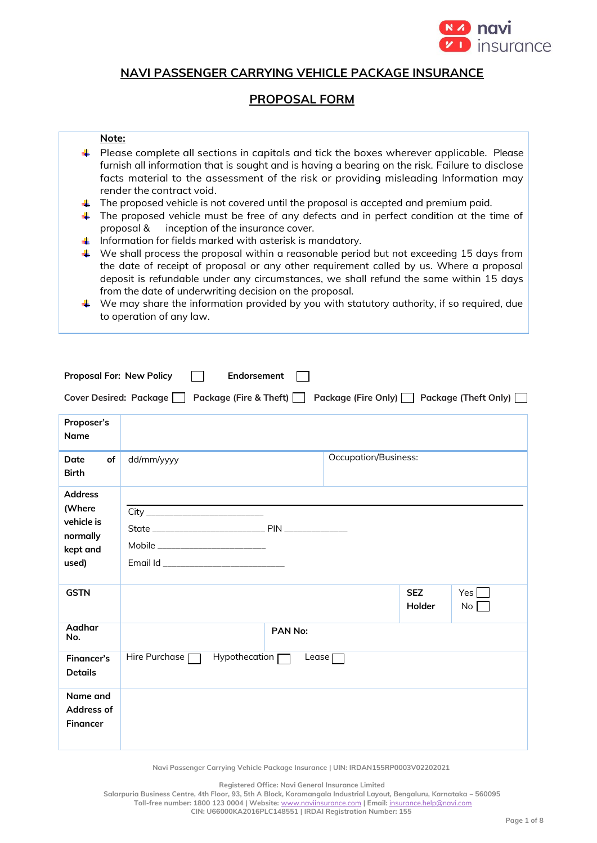

# **NAVI PASSENGER CARRYING VEHICLE PACKAGE INSURANCE**

# **PROPOSAL FORM**

# **Note:**

- $\ddot{\phantom{1}}$  Please complete all sections in capitals and tick the boxes wherever applicable. Please furnish all information that is sought and is having a bearing on the risk. Failure to disclose facts material to the assessment of the risk or providing misleading Information may render the contract void.
- $\ddot{\phantom{1}}$  The proposed vehicle is not covered until the proposal is accepted and premium paid.
- $\ddot{\phantom{1}}$  The proposed vehicle must be free of any defects and in perfect condition at the time of proposal & inception of the insurance cover.
- $\downarrow$  Information for fields marked with asterisk is mandatory.
- $\ddot{\phantom{1}}$  We shall process the proposal within a reasonable period but not exceeding 15 days from the date of receipt of proposal or any other requirement called by us. Where a proposal deposit is refundable under any circumstances, we shall refund the same within 15 days from the date of underwriting decision on the proposal.
- We may share the information provided by you with statutory authority, if so required, due to operation of any law.

| <b>Proposal For: New Policy</b>                                         | Endorsement                                                                                      |  |  |  |  |
|-------------------------------------------------------------------------|--------------------------------------------------------------------------------------------------|--|--|--|--|
|                                                                         | Cover Desired: Package  <br>Package (Fire & Theft)<br>Package (Fire Only)   Package (Theft Only) |  |  |  |  |
| Proposer's<br>Name                                                      |                                                                                                  |  |  |  |  |
| of<br>Date<br><b>Birth</b>                                              | <b>Occupation/Business:</b><br>dd/mm/yyyy                                                        |  |  |  |  |
| <b>Address</b><br>(Where<br>vehicle is<br>normally<br>kept and<br>used) |                                                                                                  |  |  |  |  |
| <b>GSTN</b>                                                             | <b>SEZ</b><br>Yes<br>Holder<br>No                                                                |  |  |  |  |
| Aadhar<br>No.                                                           | PAN No:                                                                                          |  |  |  |  |
| <b>Financer's</b><br><b>Details</b>                                     | Hire Purchase [<br>Hypothecation [<br>$L$ ease $\Gamma$                                          |  |  |  |  |
| Name and<br>Address of<br><b>Financer</b>                               |                                                                                                  |  |  |  |  |

**Navi Passenger Carrying Vehicle Package Insurance | UIN: IRDAN155RP0003V02202021**

**Registered Office: Navi General Insurance Limited**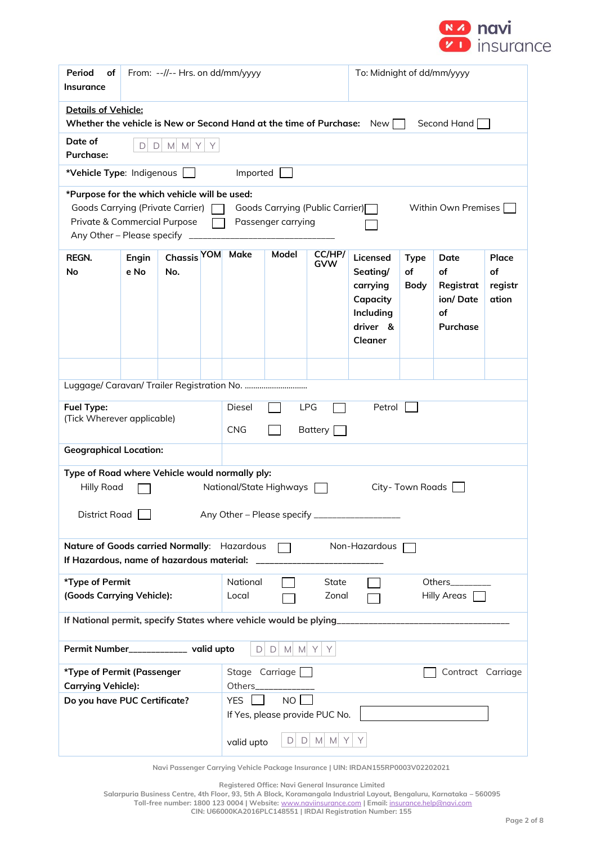

| Period<br>οf<br><b>Insurance</b>                                                                                                                                                                                                   | From: --//-- Hrs. on dd/mm/yyyy                                                       |                    |   |                                     | To: Midnight of dd/mm/yyyy     |               |                                                                                         |                                  |                                                       |                                 |
|------------------------------------------------------------------------------------------------------------------------------------------------------------------------------------------------------------------------------------|---------------------------------------------------------------------------------------|--------------------|---|-------------------------------------|--------------------------------|---------------|-----------------------------------------------------------------------------------------|----------------------------------|-------------------------------------------------------|---------------------------------|
| Details of Vehicle:<br>Whether the vehicle is New or Second Hand at the time of Purchase:                                                                                                                                          |                                                                                       |                    |   |                                     |                                |               | New                                                                                     |                                  | Second Hand                                           |                                 |
| Date of<br><b>Purchase:</b>                                                                                                                                                                                                        | D<br>D                                                                                | M M Y              | Y |                                     |                                |               |                                                                                         |                                  |                                                       |                                 |
| *Vehicle Type: Indigenous                                                                                                                                                                                                          |                                                                                       |                    |   | Imported                            |                                |               |                                                                                         |                                  |                                                       |                                 |
| *Purpose for the which vehicle will be used:<br>Goods Carrying (Private Carrier) [<br>Goods Carrying (Public Carrier)<br>Within Own Premises [<br>Private & Commercial Purpose<br>Passenger carrying<br>Any Other - Please specify |                                                                                       |                    |   |                                     |                                |               |                                                                                         |                                  |                                                       |                                 |
| REGN.<br><b>No</b>                                                                                                                                                                                                                 | Engin<br>e No                                                                         | Chassis YOM<br>No. |   | Make                                | Model                          | CC/HP/<br>GVW | Licensed<br>Seating/<br>carrying<br>Capacity<br>Including<br>driver &<br><b>Cleaner</b> | <b>Type</b><br>of<br><b>Body</b> | Date<br>of<br>Registrat<br>ion/Date<br>of<br>Purchase | Place<br>οf<br>registr<br>ation |
|                                                                                                                                                                                                                                    |                                                                                       |                    |   |                                     |                                |               |                                                                                         |                                  |                                                       |                                 |
|                                                                                                                                                                                                                                    |                                                                                       |                    |   |                                     |                                |               |                                                                                         |                                  |                                                       |                                 |
| Fuel Type:                                                                                                                                                                                                                         | Diesel<br><b>LPG</b><br>Petrol<br>(Tick Wherever applicable)<br><b>CNG</b><br>Battery |                    |   |                                     |                                |               |                                                                                         |                                  |                                                       |                                 |
|                                                                                                                                                                                                                                    | <b>Geographical Location:</b>                                                         |                    |   |                                     |                                |               |                                                                                         |                                  |                                                       |                                 |
| Type of Road where Vehicle would normally ply:<br><b>Hilly Road</b><br>National/State Highways<br>City-Town Roads<br>District Road <sub>D</sub><br>Any Other - Please specify _________                                            |                                                                                       |                    |   |                                     |                                |               |                                                                                         |                                  |                                                       |                                 |
| Nature of Goods carried Normally: Hazardous<br>Non-Hazardous                                                                                                                                                                       |                                                                                       |                    |   |                                     |                                |               |                                                                                         |                                  |                                                       |                                 |
| If Hazardous, name of hazardous material:                                                                                                                                                                                          |                                                                                       |                    |   |                                     |                                |               |                                                                                         |                                  |                                                       |                                 |
| *Type of Permit<br>National<br>Others________<br>State<br>(Goods Carrying Vehicle):<br>Zonal<br>Hilly Areas  <br>Local                                                                                                             |                                                                                       |                    |   |                                     |                                |               |                                                                                         |                                  |                                                       |                                 |
| If National permit, specify States where vehicle would be plying____________                                                                                                                                                       |                                                                                       |                    |   |                                     |                                |               |                                                                                         |                                  |                                                       |                                 |
| Permit Number______________ valid upto<br>$D$ M M Y<br>$\Box$<br>Y                                                                                                                                                                 |                                                                                       |                    |   |                                     |                                |               |                                                                                         |                                  |                                                       |                                 |
| *Type of Permit (Passenger                                                                                                                                                                                                         |                                                                                       |                    |   | Stage Carriage<br>Contract Carriage |                                |               |                                                                                         |                                  |                                                       |                                 |
| <b>Carrying Vehicle):</b><br>Do you have PUC Certificate?                                                                                                                                                                          |                                                                                       |                    |   | Others<br><b>YES</b>                | NO <sub>l</sub>                |               |                                                                                         |                                  |                                                       |                                 |
|                                                                                                                                                                                                                                    |                                                                                       |                    |   |                                     | If Yes, please provide PUC No. |               |                                                                                         |                                  |                                                       |                                 |
|                                                                                                                                                                                                                                    |                                                                                       |                    |   | valid upto                          |                                | $D D M M Y $  | Y                                                                                       |                                  |                                                       |                                 |

**Registered Office: Navi General Insurance Limited**

**Salarpuria Business Centre, 4th Floor, 93, 5th A Block, Koramangala Industrial Layout, Bengaluru, Karnataka – 560095 Toll-free number: 1800 123 0004 | Website:** [www.naviinsurance.com](http://www.naviinsurance.com/) **| Email:** [insurance.help@navi.com](mailto:insurance.help@navi.com)

**CIN: U66000KA2016PLC148551 | IRDAI Registration Number: 155**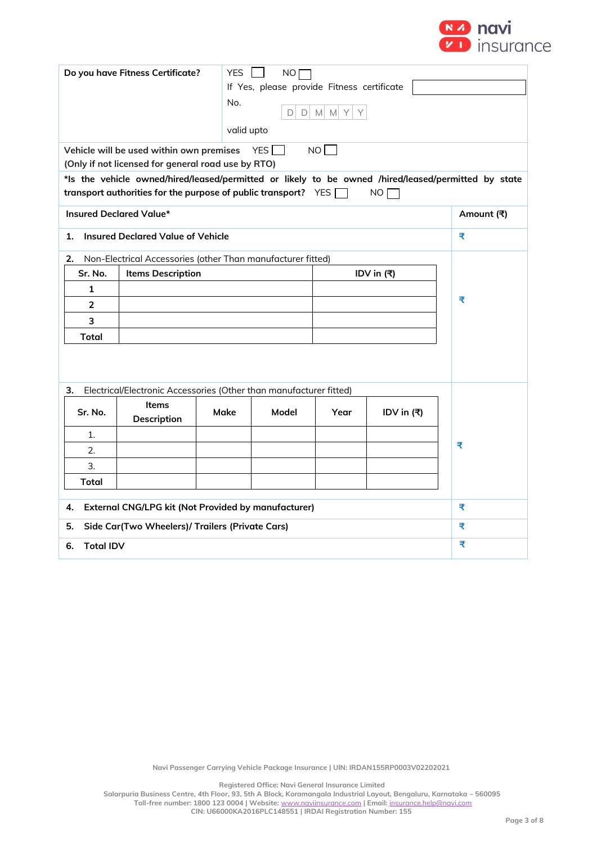

|                                                                  | Do you have Fitness Certificate?                                      | <b>YES</b> | NO <b>[</b>            |                  |               |                                                                                                     |
|------------------------------------------------------------------|-----------------------------------------------------------------------|------------|------------------------|------------------|---------------|-----------------------------------------------------------------------------------------------------|
|                                                                  | If Yes, please provide Fitness certificate<br>No.                     |            |                        |                  |               |                                                                                                     |
|                                                                  |                                                                       |            | $\Box$<br>$\mathsf{D}$ | $M$ $M$ $Y$<br>Y |               |                                                                                                     |
|                                                                  |                                                                       | valid upto |                        |                  |               |                                                                                                     |
|                                                                  | Vehicle will be used within own premises                              |            | YES $\Box$             | NO               |               |                                                                                                     |
|                                                                  | (Only if not licensed for general road use by RTO)                    |            |                        |                  |               |                                                                                                     |
|                                                                  |                                                                       |            |                        |                  |               | *Is the vehicle owned/hired/leased/permitted or likely to be owned /hired/leased/permitted by state |
|                                                                  | transport authorities for the purpose of public transport? $YES \Box$ |            |                        |                  | NO            |                                                                                                     |
| Insured Declared Value*                                          |                                                                       |            |                        |                  |               | Amount (₹)                                                                                          |
| 1.                                                               | <b>Insured Declared Value of Vehicle</b>                              |            |                        |                  |               | ₹                                                                                                   |
| 2.                                                               | Non-Electrical Accessories (other Than manufacturer fitted)           |            |                        |                  |               |                                                                                                     |
| Sr. No.                                                          | <b>Items Description</b>                                              |            |                        |                  | IDV in (₹)    |                                                                                                     |
| 1                                                                |                                                                       |            |                        |                  |               |                                                                                                     |
| $\overline{2}$                                                   |                                                                       |            |                        |                  |               | ₹                                                                                                   |
| 3                                                                |                                                                       |            |                        |                  |               |                                                                                                     |
| Total                                                            |                                                                       |            |                        |                  |               |                                                                                                     |
|                                                                  |                                                                       |            |                        |                  |               |                                                                                                     |
|                                                                  |                                                                       |            |                        |                  |               |                                                                                                     |
| з.                                                               | Electrical/Electronic Accessories (Other than manufacturer fitted)    |            |                        |                  |               |                                                                                                     |
|                                                                  | Items                                                                 |            |                        |                  |               |                                                                                                     |
| Sr. No.                                                          | Description                                                           | Make       | Model                  | Year             | IDV in $( ₹)$ |                                                                                                     |
| 1.                                                               |                                                                       |            |                        |                  |               |                                                                                                     |
| 2.                                                               | ₹                                                                     |            |                        |                  |               |                                                                                                     |
| 3.                                                               |                                                                       |            |                        |                  |               |                                                                                                     |
| Total                                                            |                                                                       |            |                        |                  |               |                                                                                                     |
|                                                                  |                                                                       |            |                        |                  |               |                                                                                                     |
| <b>External CNG/LPG kit (Not Provided by manufacturer)</b><br>4. | ₹                                                                     |            |                        |                  |               |                                                                                                     |
| Side Car(Two Wheelers)/ Trailers (Private Cars)<br>5.            | ₹                                                                     |            |                        |                  |               |                                                                                                     |
| <b>Total IDV</b><br>6.                                           |                                                                       |            |                        |                  |               | ₹                                                                                                   |

**Registered Office: Navi General Insurance Limited**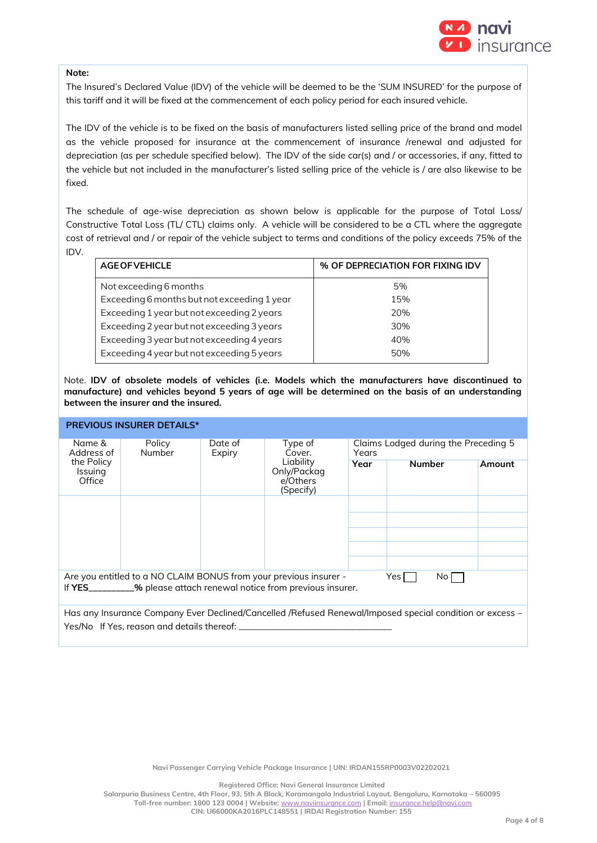

### **Note:**

The Insured's Declared Value (IDV) of the vehicle will be deemed to be the 'SUM INSURED' for the purpose of this tariff and it will be fixed at the commencement of each policy period for each insured vehicle.

The IDV of the vehicle is to be fixed on the basis of manufacturers listed selling price of the brand and model as the vehicle proposed for insurance at the commencement of insurance /renewal and adjusted for depreciation (as per schedule specified below). The IDV of the side car(s) and / or accessories, if any, fitted to the vehicle but not included in the manufacturer's listed selling price of the vehicle is / are also likewise to be fixed.

The schedule of age-wise depreciation as shown below is applicable for the purpose of Total Loss/ Constructive Total Loss (TL/ CTL) claims only. A vehicle will be considered to be a CTL where the aggregate cost of retrieval and / or repair of the vehicle subject to terms and conditions of the policy exceeds 75% of the

IDV.

| <b>AGE OF VEHICLE</b>                       | % OF DEPRECIATION FOR FIXING IDV |
|---------------------------------------------|----------------------------------|
| Not exceeding 6 months                      | 5%                               |
| Exceeding 6 months but not exceeding 1 year | 15%                              |
| Exceeding 1 year but not exceeding 2 years  | 20%                              |
| Exceeding 2 year but not exceeding 3 years  | 30%                              |
| Exceeding 3 year but not exceeding 4 years  | 40%                              |
| Exceeding 4 year but not exceeding 5 years  | 50%                              |

Note. **IDV of obsolete models of vehicles (i.e. Models which the manufacturers have discontinued to manufacture) and vehicles beyond 5 years of age will be determined on the basis of an understanding between the insurer and the insured.**

| <b>PREVIOUS INSURER DETAILS*</b>                                                                                                                           |                  |                   |                                                   |                                               |               |        |  |
|------------------------------------------------------------------------------------------------------------------------------------------------------------|------------------|-------------------|---------------------------------------------------|-----------------------------------------------|---------------|--------|--|
| Name &<br>Address of                                                                                                                                       | Policy<br>Number | Date of<br>Expiry | Type of<br>Cover.                                 | Claims Lodged during the Preceding 5<br>Years |               |        |  |
| the Policy<br><b>Issuing</b><br>Office                                                                                                                     |                  |                   | Liability<br>Only/Packag<br>e/Others<br>(Specify) | Year                                          | <b>Number</b> | Amount |  |
|                                                                                                                                                            |                  |                   |                                                   |                                               |               |        |  |
|                                                                                                                                                            |                  |                   |                                                   |                                               |               |        |  |
|                                                                                                                                                            |                  |                   |                                                   |                                               |               |        |  |
|                                                                                                                                                            |                  |                   |                                                   |                                               |               |        |  |
|                                                                                                                                                            |                  |                   |                                                   |                                               |               |        |  |
| Are you entitled to a NO CLAIM BONUS from your previous insurer -<br>Yes  <br>No l<br>If YES_________% please attach renewal notice from previous insurer. |                  |                   |                                                   |                                               |               |        |  |
| Has any Insurance Company Ever Declined/Cancelled /Refused Renewal/Imposed special condition or excess -                                                   |                  |                   |                                                   |                                               |               |        |  |
| Yes/No If Yes, reason and details thereof:                                                                                                                 |                  |                   |                                                   |                                               |               |        |  |

**Registered Office: Navi General Insurance Limited**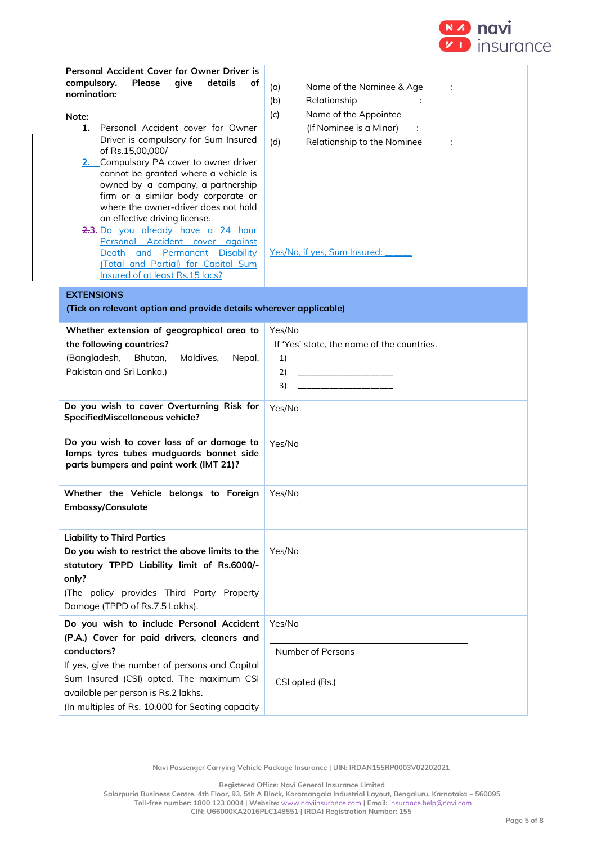

| Personal Accident Cover for Owner Driver is<br>Please<br>give<br>details<br>compulsory.<br>οf<br>nomination:<br>Note:<br>Personal Accident cover for Owner<br>1.<br>Driver is compulsory for Sum Insured<br>of Rs.15,00,000/<br>2. Compulsory PA cover to owner driver<br>cannot be granted where a vehicle is<br>owned by a company, a partnership<br>firm or a similar body corporate or<br>where the owner-driver does not hold<br>an effective driving license.<br>2.3. Do you already have a 24 hour<br>Personal Accident cover against<br>Death and Permanent Disability<br>(Total and Partial) for Capital Sum<br>Insured of at least Rs.15 lacs? | Name of the Nominee & Age<br>(a)<br>Relationship<br>(b)<br>Name of the Appointee<br>(c)<br>(If Nominee is a Minor)<br>Relationship to the Nominee<br>(d)<br>÷<br>Yes/No, if yes, Sum Insured: |
|----------------------------------------------------------------------------------------------------------------------------------------------------------------------------------------------------------------------------------------------------------------------------------------------------------------------------------------------------------------------------------------------------------------------------------------------------------------------------------------------------------------------------------------------------------------------------------------------------------------------------------------------------------|-----------------------------------------------------------------------------------------------------------------------------------------------------------------------------------------------|
| <b>EXTENSIONS</b><br>(Tick on relevant option and provide details wherever applicable)                                                                                                                                                                                                                                                                                                                                                                                                                                                                                                                                                                   |                                                                                                                                                                                               |
| Whether extension of geographical area to<br>the following countries?<br>(Bangladesh, Bhutan,<br>Maldives,<br>Nepal,<br>Pakistan and Sri Lanka.)                                                                                                                                                                                                                                                                                                                                                                                                                                                                                                         | Yes/No<br>If 'Yes' state, the name of the countries.<br>1)<br>2)<br>___________________________<br>3)<br>_____________________                                                                |
| Do you wish to cover Overturning Risk for<br>SpecifiedMiscellaneous vehicle?                                                                                                                                                                                                                                                                                                                                                                                                                                                                                                                                                                             | Yes/No                                                                                                                                                                                        |
| Do you wish to cover loss of or damage to<br>lamps tyres tubes mudguards bonnet side<br>parts bumpers and paint work (IMT 21)?                                                                                                                                                                                                                                                                                                                                                                                                                                                                                                                           | Yes/No                                                                                                                                                                                        |
| Whether the Vehicle belongs to Foreign<br>Embassy/Consulate                                                                                                                                                                                                                                                                                                                                                                                                                                                                                                                                                                                              | Yes/No                                                                                                                                                                                        |
| <b>Liability to Third Parties</b><br>Do you wish to restrict the above limits to the<br>statutory TPPD Liability limit of Rs.6000/-<br>only?<br>(The policy provides Third Party Property<br>Damage (TPPD of Rs.7.5 Lakhs).                                                                                                                                                                                                                                                                                                                                                                                                                              | Yes/No                                                                                                                                                                                        |
| Do you wish to include Personal Accident<br>(P.A.) Cover for paid drivers, cleaners and<br>conductors?<br>If yes, give the number of persons and Capital<br>Sum Insured (CSI) opted. The maximum CSI<br>available per person is Rs.2 lakhs.<br>(In multiples of Rs. 10,000 for Seating capacity                                                                                                                                                                                                                                                                                                                                                          | Yes/No<br>Number of Persons<br>CSI opted (Rs.)                                                                                                                                                |

**Registered Office: Navi General Insurance Limited**

**Salarpuria Business Centre, 4th Floor, 93, 5th A Block, Koramangala Industrial Layout, Bengaluru, Karnataka – 560095 Toll-free number: 1800 123 0004 | Website:** [www.naviinsurance.com](http://www.naviinsurance.com/) **| Email:** [insurance.help@navi.com](mailto:insurance.help@navi.com)

**CIN: U66000KA2016PLC148551 | IRDAI Registration Number: 155**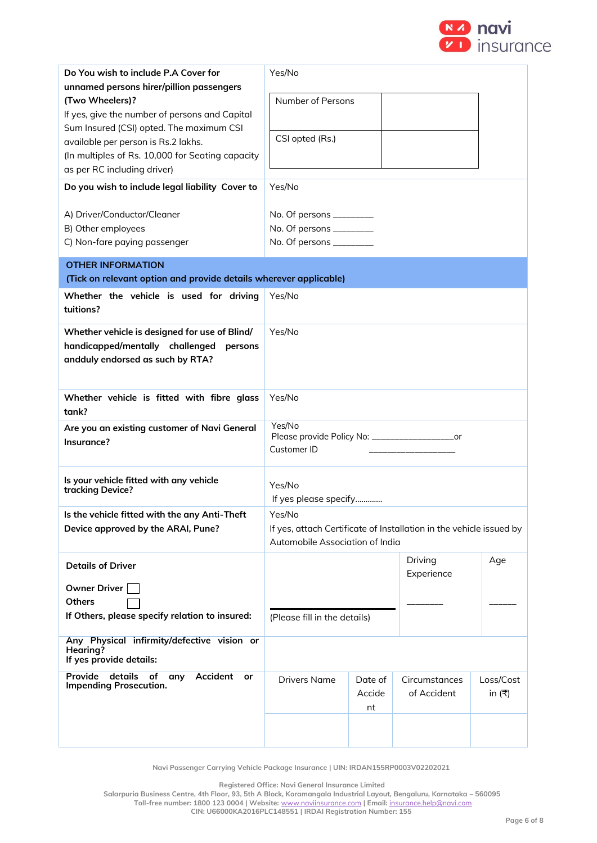

| Do You wish to include P.A Cover for<br>unnamed persons hirer/pillion passengers<br>(Two Wheelers)?<br>If yes, give the number of persons and Capital<br>Sum Insured (CSI) opted. The maximum CSI<br>available per person is Rs.2 lakhs.<br>(In multiples of Rs. 10,000 for Seating capacity<br>as per RC including driver)<br>Do you wish to include legal liability Cover to<br>A) Driver/Conductor/Cleaner<br>B) Other employees<br>C) Non-fare paying passenger | Yes/No<br>Number of Persons<br>CSI opted (Rs.)<br>Yes/No<br>No. Of persons ___________<br>No. Of persons _________<br>No. Of persons _________ |                         |                              |                        |
|---------------------------------------------------------------------------------------------------------------------------------------------------------------------------------------------------------------------------------------------------------------------------------------------------------------------------------------------------------------------------------------------------------------------------------------------------------------------|------------------------------------------------------------------------------------------------------------------------------------------------|-------------------------|------------------------------|------------------------|
| <b>OTHER INFORMATION</b><br>(Tick on relevant option and provide details wherever applicable)                                                                                                                                                                                                                                                                                                                                                                       |                                                                                                                                                |                         |                              |                        |
| Whether the vehicle is used for driving<br>tuitions?                                                                                                                                                                                                                                                                                                                                                                                                                | Yes/No                                                                                                                                         |                         |                              |                        |
| Whether vehicle is designed for use of Blind/<br>handicapped/mentally challenged<br>persons<br>andduly endorsed as such by RTA?                                                                                                                                                                                                                                                                                                                                     | Yes/No                                                                                                                                         |                         |                              |                        |
| Whether vehicle is fitted with fibre glass<br>tank?                                                                                                                                                                                                                                                                                                                                                                                                                 | Yes/No                                                                                                                                         |                         |                              |                        |
| Are you an existing customer of Navi General<br>Insurance?                                                                                                                                                                                                                                                                                                                                                                                                          | Yes/No<br>Please provide Policy No: _____________________or<br>Customer ID                                                                     |                         |                              |                        |
| Is your vehicle fitted with any vehicle<br>tracking Device?                                                                                                                                                                                                                                                                                                                                                                                                         | Yes/No<br>If yes please specify                                                                                                                |                         |                              |                        |
| Is the vehicle fitted with the any Anti-Theft<br>Device approved by the ARAI, Pune?                                                                                                                                                                                                                                                                                                                                                                                 | Yes/No<br>If yes, attach Certificate of Installation in the vehicle issued by<br>Automobile Association of India                               |                         |                              |                        |
| <b>Details of Driver</b><br><b>Owner Driver</b><br><b>Others</b><br>If Others, please specify relation to insured:                                                                                                                                                                                                                                                                                                                                                  | (Please fill in the details)                                                                                                                   |                         | Driving<br>Experience        | Age                    |
| Any Physical infirmity/defective vision or<br>Hearing?<br>If yes provide details:                                                                                                                                                                                                                                                                                                                                                                                   |                                                                                                                                                |                         |                              |                        |
| details<br><b>Accident</b><br>Provide<br>of<br>any<br>or<br><b>Impending Prosecution.</b>                                                                                                                                                                                                                                                                                                                                                                           | <b>Drivers Name</b>                                                                                                                            | Date of<br>Accide<br>nt | Circumstances<br>of Accident | Loss/Cost<br>in $($ ₹) |

**Registered Office: Navi General Insurance Limited**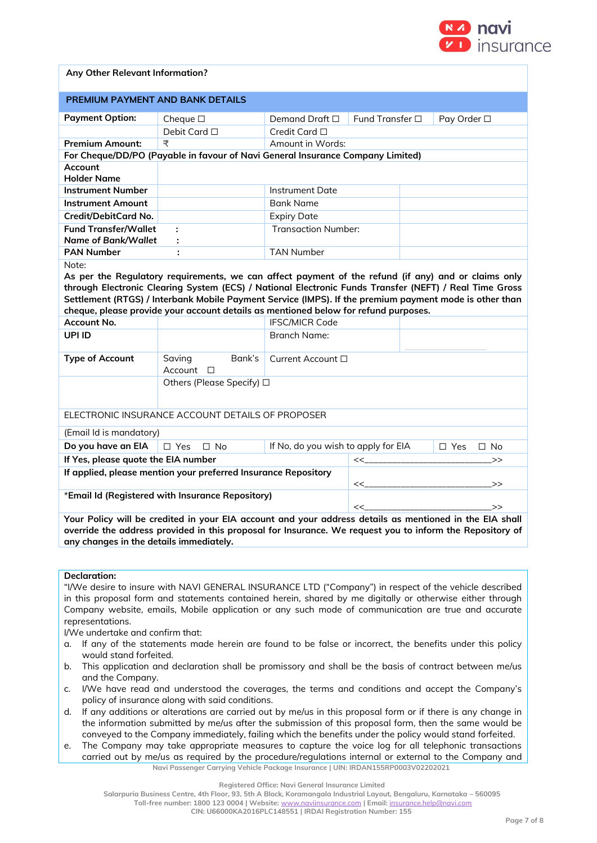

## **Any Other Relevant Information?**

| <b>PREMIUM PAYMENT AND BANK DETAILS</b>                                                                                                                                                                                                                                                                                                                                                                                                                                                                                                                                                                      |                                                                                |                                           |                 |  |                         |
|--------------------------------------------------------------------------------------------------------------------------------------------------------------------------------------------------------------------------------------------------------------------------------------------------------------------------------------------------------------------------------------------------------------------------------------------------------------------------------------------------------------------------------------------------------------------------------------------------------------|--------------------------------------------------------------------------------|-------------------------------------------|-----------------|--|-------------------------|
| <b>Payment Option:</b>                                                                                                                                                                                                                                                                                                                                                                                                                                                                                                                                                                                       | Cheque $\square$                                                               | Demand Draft $\square$                    | Fund Transfer □ |  | Pay Order □             |
|                                                                                                                                                                                                                                                                                                                                                                                                                                                                                                                                                                                                              | Debit Card □                                                                   | Credit Card □                             |                 |  |                         |
| <b>Premium Amount:</b>                                                                                                                                                                                                                                                                                                                                                                                                                                                                                                                                                                                       | ₹                                                                              | Amount in Words:                          |                 |  |                         |
|                                                                                                                                                                                                                                                                                                                                                                                                                                                                                                                                                                                                              | For Cheque/DD/PO (Payable in favour of Navi General Insurance Company Limited) |                                           |                 |  |                         |
| Account<br><b>Holder Name</b>                                                                                                                                                                                                                                                                                                                                                                                                                                                                                                                                                                                |                                                                                |                                           |                 |  |                         |
| <b>Instrument Number</b>                                                                                                                                                                                                                                                                                                                                                                                                                                                                                                                                                                                     |                                                                                | <b>Instrument Date</b>                    |                 |  |                         |
| <b>Instrument Amount</b>                                                                                                                                                                                                                                                                                                                                                                                                                                                                                                                                                                                     |                                                                                | <b>Bank Name</b>                          |                 |  |                         |
| Credit/DebitCard No.                                                                                                                                                                                                                                                                                                                                                                                                                                                                                                                                                                                         |                                                                                | <b>Expiry Date</b>                        |                 |  |                         |
| <b>Fund Transfer/Wallet</b><br><b>Name of Bank/Wallet</b>                                                                                                                                                                                                                                                                                                                                                                                                                                                                                                                                                    | ÷<br>÷                                                                         | <b>Transaction Number:</b>                |                 |  |                         |
| <b>PAN Number</b>                                                                                                                                                                                                                                                                                                                                                                                                                                                                                                                                                                                            |                                                                                | <b>TAN Number</b>                         |                 |  |                         |
| As per the Regulatory requirements, we can affect payment of the refund (if any) and or claims only<br>through Electronic Clearing System (ECS) / National Electronic Funds Transfer (NEFT) / Real Time Gross<br>Settlement (RTGS) / Interbank Mobile Payment Service (IMPS). If the premium payment mode is other than<br>cheque, please provide your account details as mentioned below for refund purposes.<br><b>IFSC/MICR Code</b><br>Account No.<br>UPI ID<br><b>Branch Name:</b><br><b>Type of Account</b><br>Bank's<br>Saving<br>Current Account □<br>Account<br>$\Box$<br>Others (Please Specify) □ |                                                                                |                                           |                 |  |                         |
| ELECTRONIC INSURANCE ACCOUNT DETAILS OF PROPOSER                                                                                                                                                                                                                                                                                                                                                                                                                                                                                                                                                             |                                                                                |                                           |                 |  |                         |
| (Email Id is mandatory)<br>Do you have an EIA                                                                                                                                                                                                                                                                                                                                                                                                                                                                                                                                                                | $\square$ Yes<br>$\square$ No                                                  |                                           |                 |  | $\Box$ Yes<br>$\Box$ No |
| If Yes, please quote the EIA number                                                                                                                                                                                                                                                                                                                                                                                                                                                                                                                                                                          |                                                                                | If No, do you wish to apply for EIA<br><< |                 |  | >                       |
|                                                                                                                                                                                                                                                                                                                                                                                                                                                                                                                                                                                                              |                                                                                |                                           |                 |  |                         |
| If applied, please mention your preferred Insurance Repository<br><<<br>>                                                                                                                                                                                                                                                                                                                                                                                                                                                                                                                                    |                                                                                |                                           |                 |  |                         |
| *Email Id (Registered with Insurance Repository)<br><<<br>>                                                                                                                                                                                                                                                                                                                                                                                                                                                                                                                                                  |                                                                                |                                           |                 |  |                         |
| Your Policy will be credited in your EIA account and your address details as mentioned in the EIA shall<br>override the address provided in this proposal for Insurance. We request you to inform the Repository of<br>any changes in the details immediately.                                                                                                                                                                                                                                                                                                                                               |                                                                                |                                           |                 |  |                         |

#### **Declaration:**

"I/We desire to insure with NAVI GENERAL INSURANCE LTD ("Company") in respect of the vehicle described in this proposal form and statements contained herein, shared by me digitally or otherwise either through Company website, emails, Mobile application or any such mode of communication are true and accurate representations.

I/We undertake and confirm that:

- a. If any of the statements made herein are found to be false or incorrect, the benefits under this policy would stand forfeited.
- b. This application and declaration shall be promissory and shall be the basis of contract between me/us and the Company.
- c. I/We have read and understood the coverages, the terms and conditions and accept the Company's policy of insurance along with said conditions.
- d. If any additions or alterations are carried out by me/us in this proposal form or if there is any change in the information submitted by me/us after the submission of this proposal form, then the same would be conveyed to the Company immediately, failing which the benefits under the policy would stand forfeited.
- **Navi Passenger Carrying Vehicle Package Insurance | UIN: IRDAN155RP0003V02202021** e. The Company may take appropriate measures to capture the voice log for all telephonic transactions carried out by me/us as required by the procedure/regulations internal or external to the Company and